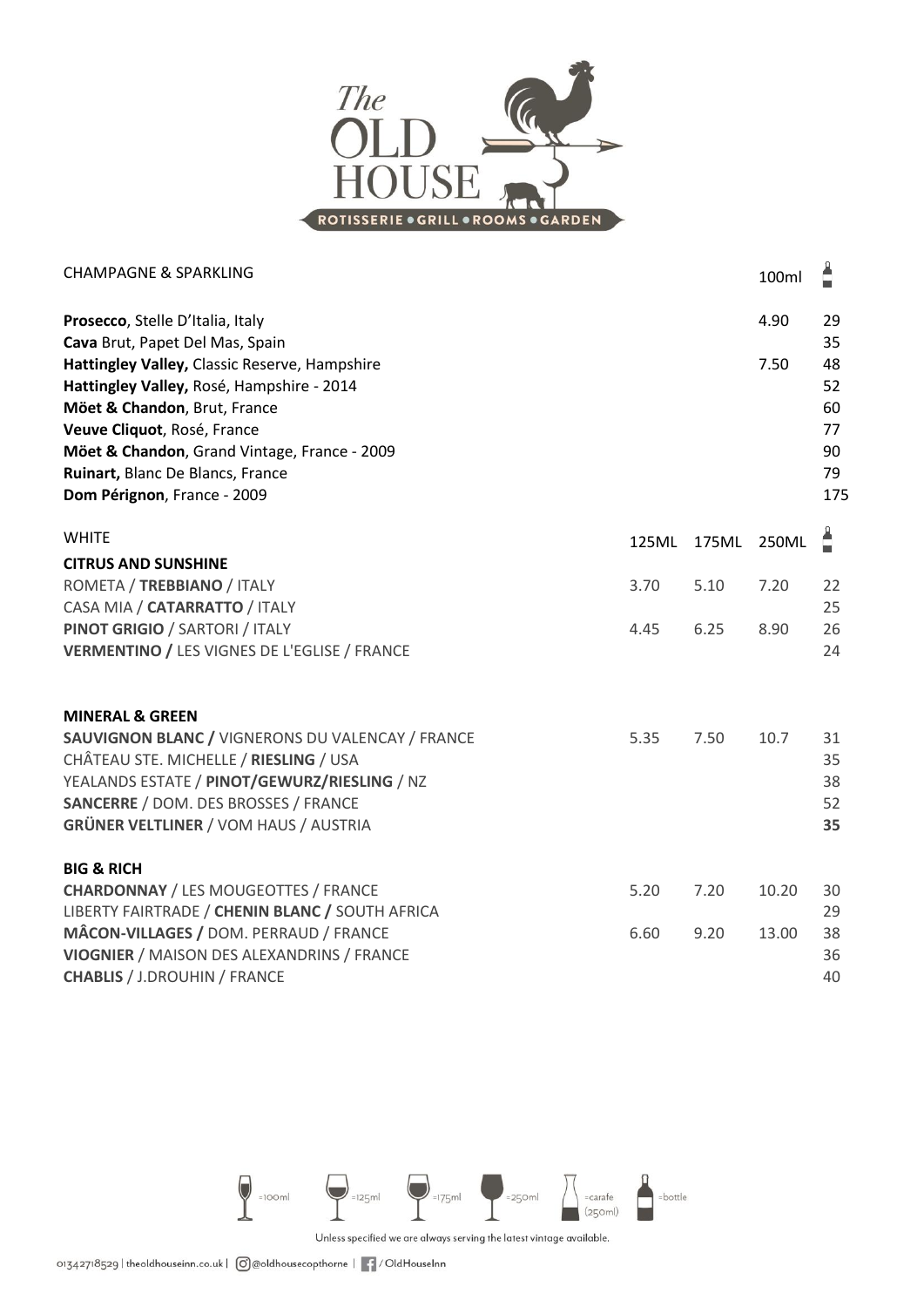

|              | 100ml                                         | Ê                                       |
|--------------|-----------------------------------------------|-----------------------------------------|
|              | 4.90                                          | 29<br>35                                |
|              | 7.50                                          | 48<br>52<br>60<br>77<br>90<br>79<br>175 |
| 125ML        |                                               | Å                                       |
| 3.70         | 7.20                                          | 22<br>25                                |
| 4.45         | 8.90                                          | 26<br>24                                |
| 5.35         | 10.7                                          | 31<br>35<br>38<br>52<br>35              |
| 5.20<br>6.60 | 10.20<br>13.00                                | 30<br>29<br>38<br>36<br>40              |
|              | 175ML<br>5.10<br>6.25<br>7.50<br>7.20<br>9.20 | 250ML                                   |



Unless specified we are always serving the latest vintage available.